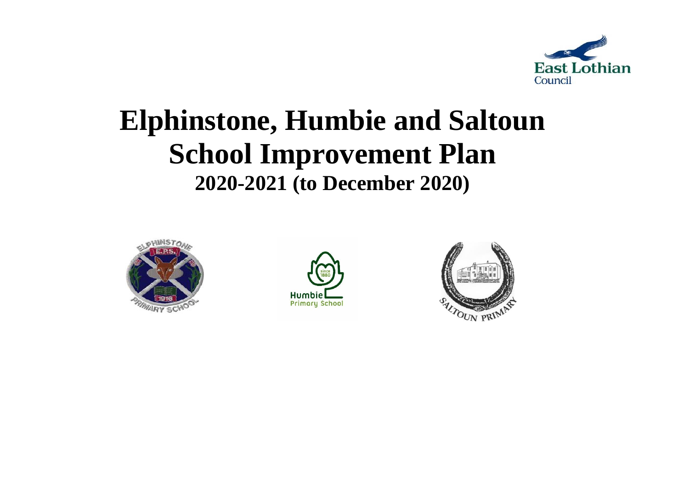

# **Elphinstone, Humbie and Saltoun School Improvement Plan 2020-2021 (to December 2020)**





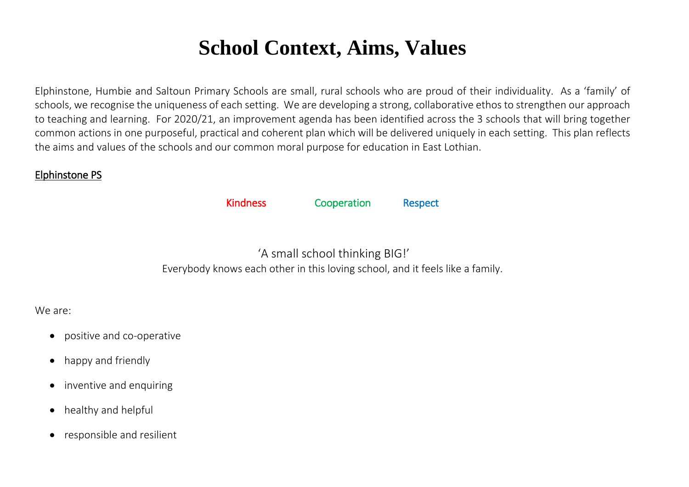# **School Context, Aims, Values**

Elphinstone, Humbie and Saltoun Primary Schools are small, rural schools who are proud of their individuality. As a 'family' of schools, we recognise the uniqueness of each setting. We are developing a strong, collaborative ethos to strengthen our approach to teaching and learning. For 2020/21, an improvement agenda has been identified across the 3 schools that will bring together common actions in one purposeful, practical and coherent plan which will be delivered uniquely in each setting. This plan reflects the aims and values of the schools and our common moral purpose for education in East Lothian.

# Elphinstone PS

Kindness Cooperation Respect

'A small school thinking BIG!' Everybody knows each other in this loving school, and it feels like a family.

# We are:

- positive and co-operative
- happy and friendly
- inventive and enquiring
- healthy and helpful
- responsible and resilient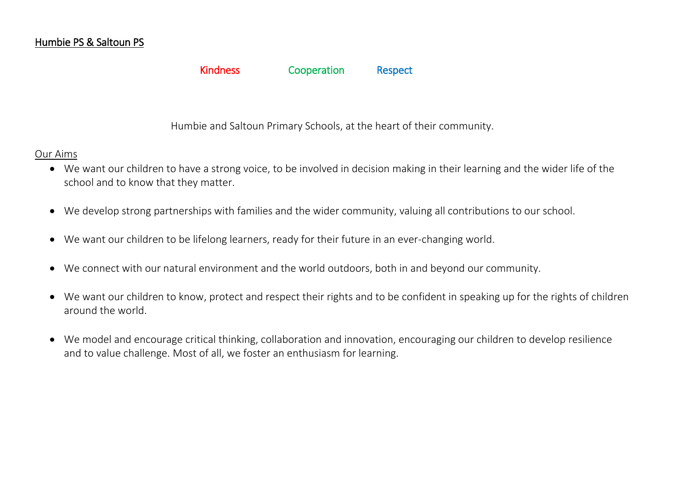# Humbie PS & Saltoun PS

## Kindness Cooperation Respect

Humbie and Saltoun Primary Schools, at the heart of their community.

## Our Aims

- We want our children to have a strong voice, to be involved in decision making in their learning and the wider life of the school and to know that they matter.
- We develop strong partnerships with families and the wider community, valuing all contributions to our school.
- We want our children to be lifelong learners, ready for their future in an ever-changing world.
- We connect with our natural environment and the world outdoors, both in and beyond our community.
- We want our children to know, protect and respect their rights and to be confident in speaking up for the rights of children around the world.
- We model and encourage critical thinking, collaboration and innovation, encouraging our children to develop resilience and to value challenge. Most of all, we foster an enthusiasm for learning.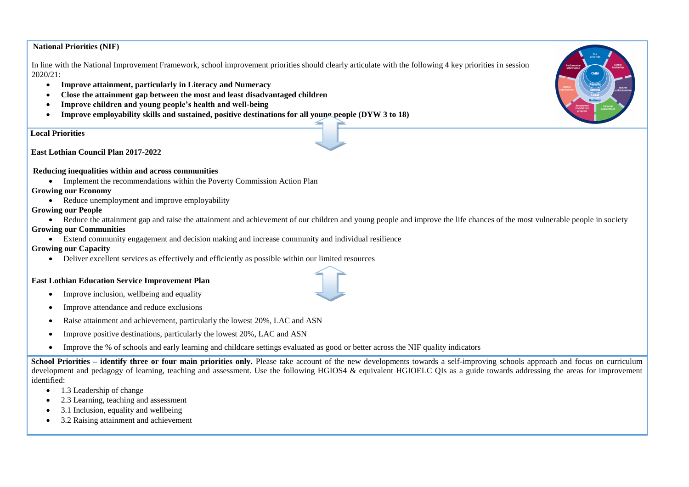#### **National Priorities (NIF)**

In line with the National Improvement Framework, school improvement priorities should clearly articulate with the following 4 key priorities in session 2020/21:

- **Improve attainment, particularly in Literacy and Numeracy**
- **Close the attainment gap between the most and least disadvantaged children**
- **Improve children and young people's health and well-being**
- **Improve employability skills and sustained, positive destinations for all young people (DYW 3 to 18)**

**Lo Local Priorities**

 **East Lothian Council Plan 2017-2022**

#### **R Reducing inequalities within and across communities**

• Implement the recommendations within the Poverty Commission Action Plan

#### **Growing our Economy**

• Reduce unemployment and improve employability

#### **Growing our People**

- Reduce the attainment gap and raise the attainment and achievement of our children and young people and improve the life chances of the most vulnerable people in society **Growing our Communities**
	- Extend community engagement and decision making and increase community and individual resilience

#### **Growing our Capacity**

Deliver excellent services as effectively and efficiently as possible within our limited resources

#### **East Lothian Education Service Improvement Plan**

- Improve inclusion, wellbeing and equality
- Improve attendance and reduce exclusions
- Raise attainment and achievement, particularly the lowest 20%, LAC and ASN
- Improve positive destinations, particularly the lowest 20%, LAC and ASN
- Improve the % of schools and early learning and childcare settings evaluated as good or better across the NIF quality indicators

**School Priorities – identify three or four main priorities only.** Please take account of the new developments towards a self-improving schools approach and focus on curriculum development and pedagogy of learning, teaching and assessment. Use the following HGIOS4 & equivalent HGIOELC QIs as a guide towards addressing the areas for improvement identified:

- 1.3 Leadership of change
- 2.3 Learning, teaching and assessment
- 3.1 Inclusion, equality and wellbeing
- 3.2 Raising attainment and achievement



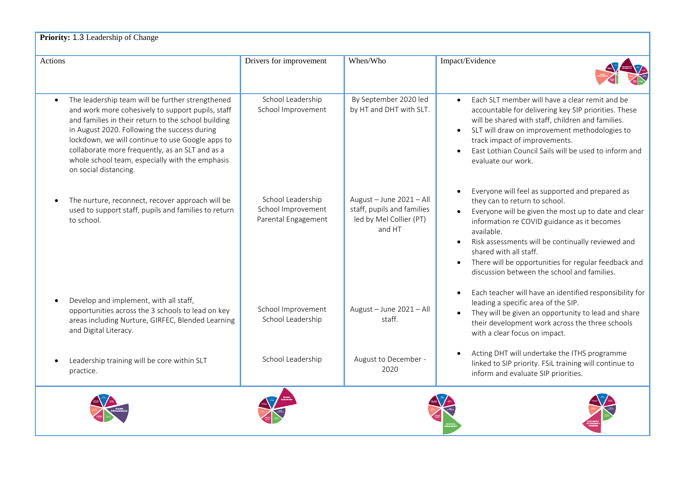| Actions                                                                                                                                                                                                                                                                                                                                                                                                      | Drivers for improvement                                        | When/Who                                                                                    | Impact/Evidence                                                                                                                                                                                                                                                                                                                                                                                                       |
|--------------------------------------------------------------------------------------------------------------------------------------------------------------------------------------------------------------------------------------------------------------------------------------------------------------------------------------------------------------------------------------------------------------|----------------------------------------------------------------|---------------------------------------------------------------------------------------------|-----------------------------------------------------------------------------------------------------------------------------------------------------------------------------------------------------------------------------------------------------------------------------------------------------------------------------------------------------------------------------------------------------------------------|
|                                                                                                                                                                                                                                                                                                                                                                                                              |                                                                |                                                                                             |                                                                                                                                                                                                                                                                                                                                                                                                                       |
| The leadership team will be further strengthened<br>$\bullet$<br>and work more cohesively to support pupils, staff<br>and families in their return to the school building<br>in August 2020. Following the success during<br>lockdown, we will continue to use Google apps to<br>collaborate more frequently, as an SLT and as a<br>whole school team, especially with the emphasis<br>on social distancing. | School Leadership<br>School Improvement                        | By September 2020 led<br>by HT and DHT with SLT.                                            | Each SLT member will have a clear remit and be<br>$\bullet$<br>accountable for delivering key SIP priorities. These<br>will be shared with staff, children and families.<br>SLT will draw on improvement methodologies to<br>track impact of improvements.<br>East Lothian Council Sails will be used to inform and<br>evaluate our work.                                                                             |
| The nurture, reconnect, recover approach will be<br>used to support staff, pupils and families to return<br>to school.                                                                                                                                                                                                                                                                                       | School Leadership<br>School Improvement<br>Parental Engagement | August - June 2021 - All<br>staff, pupils and families<br>led by Mel Collier (PT)<br>and HT | Everyone will feel as supported and prepared as<br>$\bullet$<br>they can to return to school.<br>Everyone will be given the most up to date and clear<br>information re COVID guidance as it becomes<br>available.<br>Risk assessments will be continually reviewed and<br>shared with all staff.<br>There will be opportunities for regular feedback and<br>$\bullet$<br>discussion between the school and families. |
| Develop and implement, with all staff,<br>opportunities across the 3 schools to lead on key<br>areas including Nurture, GIRFEC, Blended Learning<br>and Digital Literacy.                                                                                                                                                                                                                                    | School Improvement<br>School Leadership                        | August - June 2021 - All<br>staff.                                                          | Each teacher will have an identified responsibility for<br>$\bullet$<br>leading a specific area of the SIP.<br>They will be given an opportunity to lead and share<br>their development work across the three schools<br>with a clear focus on impact.                                                                                                                                                                |
| Leadership training will be core within SLT<br>practice.                                                                                                                                                                                                                                                                                                                                                     | School Leadership                                              | August to December -<br>2020                                                                | Acting DHT will undertake the ITHS programme<br>linked to SIP priority. FSiL training will continue to<br>inform and evaluate SIP priorities.                                                                                                                                                                                                                                                                         |
|                                                                                                                                                                                                                                                                                                                                                                                                              |                                                                |                                                                                             |                                                                                                                                                                                                                                                                                                                                                                                                                       |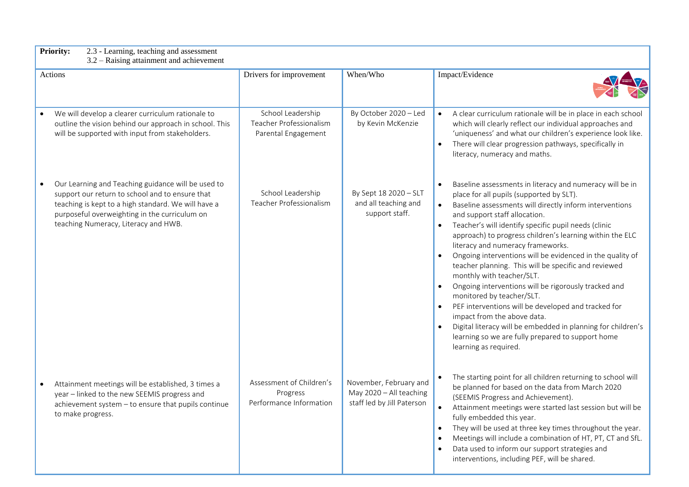|  | <b>Priority:</b> | 2.3 - Learning, teaching and assessment |  |  |
|--|------------------|-----------------------------------------|--|--|
|--|------------------|-----------------------------------------|--|--|

3.2 – Raising attainment and achievement

| Actions                                                                                                                                                                                                                                               | Drivers for improvement                                             | When/Who                                                                        | Impact/Evidence                                                                                                                                                                                                                                                                                                                                                                                                                                                                                                                                                                                                                                                                                                                                                                                                                      |
|-------------------------------------------------------------------------------------------------------------------------------------------------------------------------------------------------------------------------------------------------------|---------------------------------------------------------------------|---------------------------------------------------------------------------------|--------------------------------------------------------------------------------------------------------------------------------------------------------------------------------------------------------------------------------------------------------------------------------------------------------------------------------------------------------------------------------------------------------------------------------------------------------------------------------------------------------------------------------------------------------------------------------------------------------------------------------------------------------------------------------------------------------------------------------------------------------------------------------------------------------------------------------------|
| We will develop a clearer curriculum rationale to<br>outline the vision behind our approach in school. This<br>will be supported with input from stakeholders.                                                                                        | School Leadership<br>Teacher Professionalism<br>Parental Engagement | By October 2020 - Led<br>by Kevin McKenzie                                      | A clear curriculum rationale will be in place in each school<br>which will clearly reflect our individual approaches and<br>'uniqueness' and what our children's experience look like.<br>There will clear progression pathways, specifically in<br>literacy, numeracy and maths.                                                                                                                                                                                                                                                                                                                                                                                                                                                                                                                                                    |
| Our Learning and Teaching guidance will be used to<br>support our return to school and to ensure that<br>teaching is kept to a high standard. We will have a<br>purposeful overweighting in the curriculum on<br>teaching Numeracy, Literacy and HWB. | School Leadership<br>Teacher Professionalism                        | By Sept 18 2020 - SLT<br>and all teaching and<br>support staff.                 | Baseline assessments in literacy and numeracy will be in<br>place for all pupils (supported by SLT).<br>Baseline assessments will directly inform interventions<br>and support staff allocation.<br>Teacher's will identify specific pupil needs (clinic<br>approach) to progress children's learning within the ELC<br>literacy and numeracy frameworks.<br>Ongoing interventions will be evidenced in the quality of<br>teacher planning. This will be specific and reviewed<br>monthly with teacher/SLT.<br>Ongoing interventions will be rigorously tracked and<br>monitored by teacher/SLT.<br>PEF interventions will be developed and tracked for<br>impact from the above data.<br>Digital literacy will be embedded in planning for children's<br>learning so we are fully prepared to support home<br>learning as required. |
| Attainment meetings will be established, 3 times a<br>year - linked to the new SEEMIS progress and<br>achievement system - to ensure that pupils continue<br>to make progress.                                                                        | Assessment of Children's<br>Progress<br>Performance Information     | November, February and<br>May 2020 - All teaching<br>staff led by Jill Paterson | The starting point for all children returning to school will<br>be planned for based on the data from March 2020<br>(SEEMIS Progress and Achievement).<br>Attainment meetings were started last session but will be<br>fully embedded this year.<br>They will be used at three key times throughout the year.<br>Meetings will include a combination of HT, PT, CT and SfL.<br>Data used to inform our support strategies and<br>interventions, including PEF, will be shared.                                                                                                                                                                                                                                                                                                                                                       |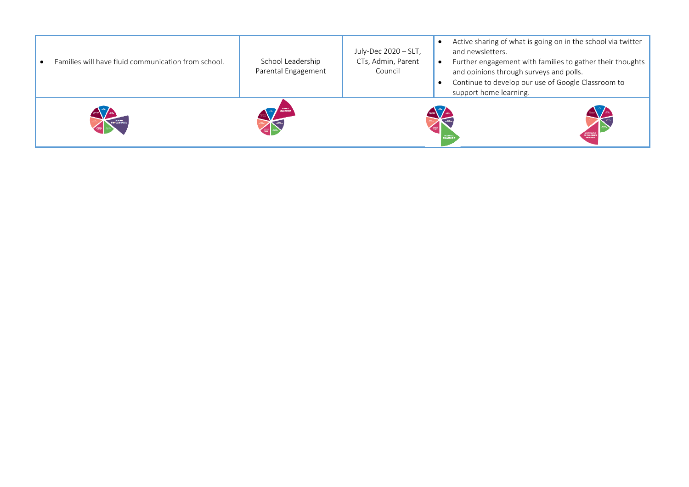| Families will have fluid communication from school. | School Leadership<br>Parental Engagement | July-Dec 2020 - SLT,<br>CTs, Admin, Parent<br>Council | Active sharing of what is going on in the school via twitter<br>and newsletters.<br>Further engagement with families to gather their thoughts<br>and opinions through surveys and polls.<br>Continue to develop our use of Google Classroom to<br>support home learning. |
|-----------------------------------------------------|------------------------------------------|-------------------------------------------------------|--------------------------------------------------------------------------------------------------------------------------------------------------------------------------------------------------------------------------------------------------------------------------|
|                                                     |                                          |                                                       |                                                                                                                                                                                                                                                                          |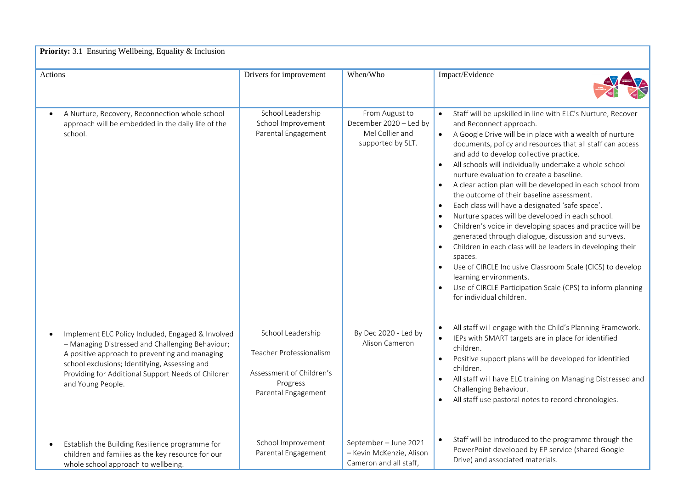| Priority: 3.1 Ensuring Wellbeing, Equality & Inclusion                                                                                                                                                                                                                              |                                                                                                             |                                                                                  |                                                                                                                                                                                                                                                                                                                                                                                                                                                                                                                                                                                                                                                                                                                                                                                                                                                                                                                                                                                                         |  |
|-------------------------------------------------------------------------------------------------------------------------------------------------------------------------------------------------------------------------------------------------------------------------------------|-------------------------------------------------------------------------------------------------------------|----------------------------------------------------------------------------------|---------------------------------------------------------------------------------------------------------------------------------------------------------------------------------------------------------------------------------------------------------------------------------------------------------------------------------------------------------------------------------------------------------------------------------------------------------------------------------------------------------------------------------------------------------------------------------------------------------------------------------------------------------------------------------------------------------------------------------------------------------------------------------------------------------------------------------------------------------------------------------------------------------------------------------------------------------------------------------------------------------|--|
| Actions                                                                                                                                                                                                                                                                             | Drivers for improvement                                                                                     | When/Who                                                                         | Impact/Evidence                                                                                                                                                                                                                                                                                                                                                                                                                                                                                                                                                                                                                                                                                                                                                                                                                                                                                                                                                                                         |  |
| A Nurture, Recovery, Reconnection whole school<br>approach will be embedded in the daily life of the<br>school.                                                                                                                                                                     | School Leadership<br>School Improvement<br>Parental Engagement                                              | From August to<br>December 2020 - Led by<br>Mel Collier and<br>supported by SLT. | Staff will be upskilled in line with ELC's Nurture, Recover<br>and Reconnect approach.<br>A Google Drive will be in place with a wealth of nurture<br>$\bullet$<br>documents, policy and resources that all staff can access<br>and add to develop collective practice.<br>All schools will individually undertake a whole school<br>nurture evaluation to create a baseline.<br>A clear action plan will be developed in each school from<br>the outcome of their baseline assessment.<br>Each class will have a designated 'safe space'.<br>$\bullet$<br>Nurture spaces will be developed in each school.<br>Children's voice in developing spaces and practice will be<br>generated through dialogue, discussion and surveys.<br>Children in each class will be leaders in developing their<br>$\bullet$<br>spaces.<br>Use of CIRCLE Inclusive Classroom Scale (CICS) to develop<br>learning environments.<br>Use of CIRCLE Participation Scale (CPS) to inform planning<br>for individual children. |  |
| Implement ELC Policy Included, Engaged & Involved<br>- Managing Distressed and Challenging Behaviour;<br>A positive approach to preventing and managing<br>school exclusions; Identifying, Assessing and<br>Providing for Additional Support Needs of Children<br>and Young People. | School Leadership<br>Teacher Professionalism<br>Assessment of Children's<br>Progress<br>Parental Engagement | By Dec 2020 - Led by<br>Alison Cameron                                           | All staff will engage with the Child's Planning Framework.<br>IEPs with SMART targets are in place for identified<br>$\bullet$<br>children.<br>Positive support plans will be developed for identified<br>$\bullet$<br>children.<br>All staff will have ELC training on Managing Distressed and<br>Challenging Behaviour.<br>All staff use pastoral notes to record chronologies.<br>$\bullet$                                                                                                                                                                                                                                                                                                                                                                                                                                                                                                                                                                                                          |  |
| Establish the Building Resilience programme for<br>children and families as the key resource for our<br>whole school approach to wellbeing.                                                                                                                                         | School Improvement<br>Parental Engagement                                                                   | September - June 2021<br>- Kevin McKenzie, Alison<br>Cameron and all staff.      | Staff will be introduced to the programme through the<br>$\bullet$<br>PowerPoint developed by EP service (shared Google<br>Drive) and associated materials.                                                                                                                                                                                                                                                                                                                                                                                                                                                                                                                                                                                                                                                                                                                                                                                                                                             |  |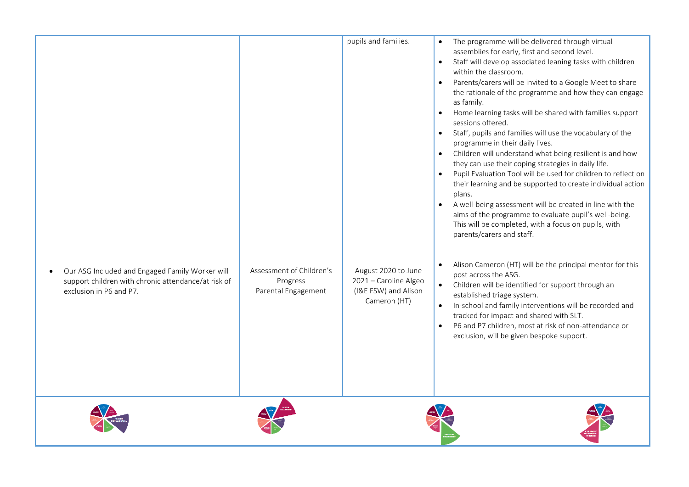| Our ASG Included and Engaged Family Worker will<br>support children with chronic attendance/at risk of<br>exclusion in P6 and P7. | Assessment of Children's<br>Progress<br>Parental Engagement | pupils and families.<br>August 2020 to June<br>2021 - Caroline Algeo<br>(I&E FSW) and Alison<br>Cameron (HT) | The programme will be delivered through virtual<br>assemblies for early, first and second level.<br>Staff will develop associated leaning tasks with children<br>$\bullet$<br>within the classroom.<br>Parents/carers will be invited to a Google Meet to share<br>the rationale of the programme and how they can engage<br>as family.<br>Home learning tasks will be shared with families support<br>$\bullet$<br>sessions offered.<br>Staff, pupils and families will use the vocabulary of the<br>$\bullet$<br>programme in their daily lives.<br>Children will understand what being resilient is and how<br>$\bullet$<br>they can use their coping strategies in daily life.<br>Pupil Evaluation Tool will be used for children to reflect on<br>$\bullet$<br>their learning and be supported to create individual action<br>plans.<br>A well-being assessment will be created in line with the<br>$\bullet$<br>aims of the programme to evaluate pupil's well-being.<br>This will be completed, with a focus on pupils, with<br>parents/carers and staff.<br>Alison Cameron (HT) will be the principal mentor for this<br>$\bullet$<br>post across the ASG.<br>Children will be identified for support through an<br>$\bullet$<br>established triage system.<br>In-school and family interventions will be recorded and<br>tracked for impact and shared with SLT.<br>P6 and P7 children, most at risk of non-attendance or<br>$\bullet$<br>exclusion, will be given bespoke support. |
|-----------------------------------------------------------------------------------------------------------------------------------|-------------------------------------------------------------|--------------------------------------------------------------------------------------------------------------|----------------------------------------------------------------------------------------------------------------------------------------------------------------------------------------------------------------------------------------------------------------------------------------------------------------------------------------------------------------------------------------------------------------------------------------------------------------------------------------------------------------------------------------------------------------------------------------------------------------------------------------------------------------------------------------------------------------------------------------------------------------------------------------------------------------------------------------------------------------------------------------------------------------------------------------------------------------------------------------------------------------------------------------------------------------------------------------------------------------------------------------------------------------------------------------------------------------------------------------------------------------------------------------------------------------------------------------------------------------------------------------------------------------------------------------------------------------------------------------------|
|                                                                                                                                   |                                                             |                                                                                                              |                                                                                                                                                                                                                                                                                                                                                                                                                                                                                                                                                                                                                                                                                                                                                                                                                                                                                                                                                                                                                                                                                                                                                                                                                                                                                                                                                                                                                                                                                              |